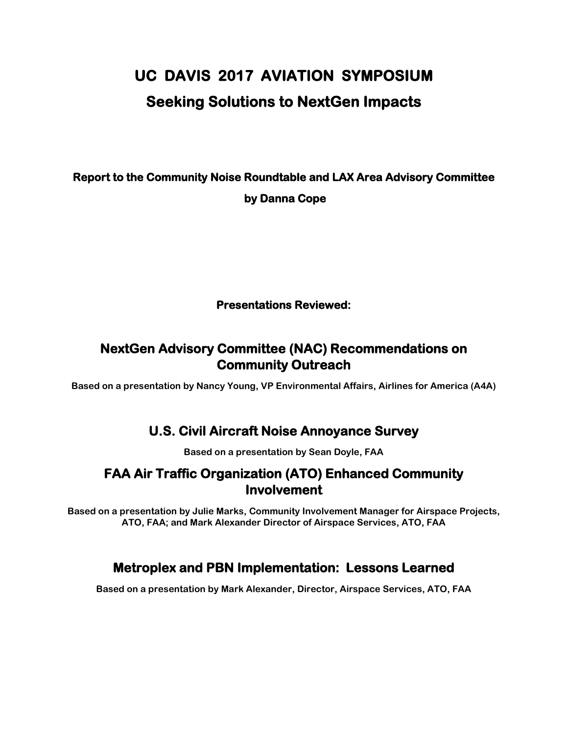# **UC DAVIS 2017 AVIATION SYMPOSIUM Seeking Solutions to NextGen Impacts**

# **Report to the Community Noise Roundtable and LAX Area Advisory Committee by Danna Cope**

#### **Presentations Reviewed:**

# **NextGen Advisory Committee (NAC) Recommendations on Community Outreach**

**Based on a presentation by Nancy Young, VP Environmental Affairs, Airlines for America (A4A)**

# **U.S. Civil Aircraft Noise Annoyance Survey**

**Based on a presentation by Sean Doyle, FAA** 

### **FAA Air Traffic Organization (ATO) Enhanced Community Involvement**

**Based on a presentation by Julie Marks, Community Involvement Manager for Airspace Projects, ATO, FAA; and Mark Alexander Director of Airspace Services, ATO, FAA**

# **Metroplex and PBN Implementation: Lessons Learned**

**Based on a presentation by Mark Alexander, Director, Airspace Services, ATO, FAA**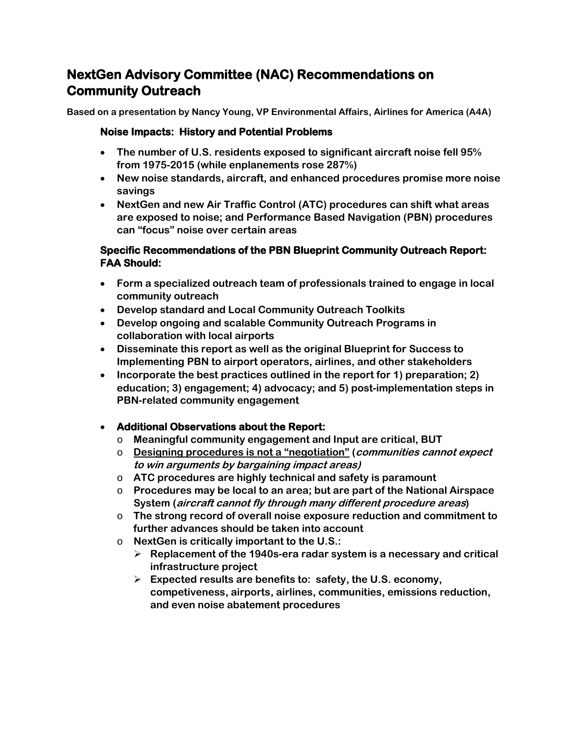# **NextGen Advisory Committee (NAC) Recommendations on Community Outreach**

**Based on a presentation by Nancy Young, VP Environmental Affairs, Airlines for America (A4A)**

#### **Noise Impacts: History and Potential Problems**

- **The number of U.S. residents exposed to significant aircraft noise fell 95% from 1975-2015 (while enplanements rose 287%)**
- **New noise standards, aircraft, and enhanced procedures promise more noise savings**
- **NextGen and new Air Traffic Control (ATC) procedures can shift what areas are exposed to noise; and Performance Based Navigation (PBN) procedures can "focus" noise over certain areas**

#### **Specific Recommendations of the PBN Blueprint Community Outreach Report: FAA Should:**

- **Form a specialized outreach team of professionals trained to engage in local community outreach**
- **Develop standard and Local Community Outreach Toolkits**
- **Develop ongoing and scalable Community Outreach Programs in collaboration with local airports**
- **Disseminate this report as well as the original Blueprint for Success to Implementing PBN to airport operators, airlines, and other stakeholders**
- **Incorporate the best practices outlined in the report for 1) preparation; 2) education; 3) engagement; 4) advocacy; and 5) post-implementation steps in PBN-related community engagement**

#### • **Additional Observations about the Report:**

- o **Meaningful community engagement and Input are critical, BUT**
- o **Designing procedures is not a "negotiation" (communities cannot expect to win arguments by bargaining impact areas)**
- o **ATC procedures are highly technical and safety is paramount**
- o **Procedures may be local to an area; but are part of the National Airspace System (aircraft cannot fly through many different procedure areas)**
- o **The strong record of overall noise exposure reduction and commitment to further advances should be taken into account**
- o **NextGen is critically important to the U.S.:**
	- **Replacement of the 1940s-era radar system is a necessary and critical infrastructure project**
	- **Expected results are benefits to: safety, the U.S. economy, competiveness, airports, airlines, communities, emissions reduction, and even noise abatement procedures**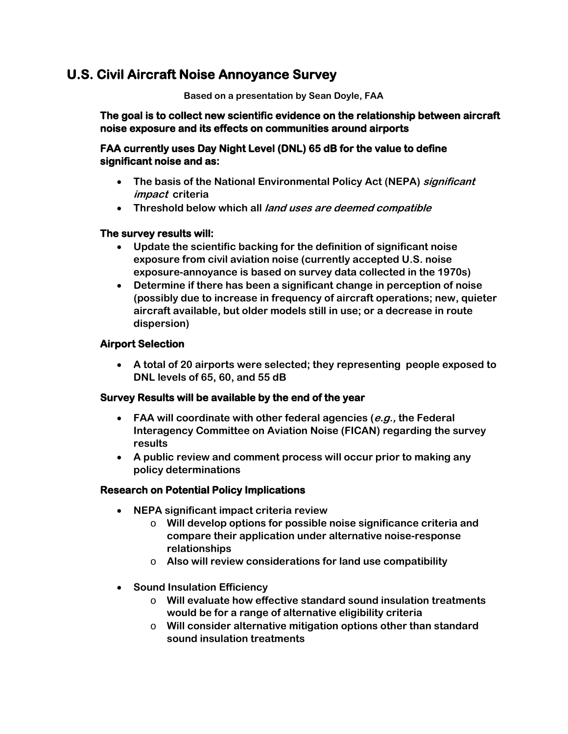### **U.S. Civil Aircraft Noise Annoyance Survey**

**Based on a presentation by Sean Doyle, FAA** 

**The goal is to collect new scientific evidence on the relationship between aircraft noise exposure and its effects on communities around airports** 

#### **FAA currently uses Day Night Level (DNL) 65 dB for the value to define significant noise and as:**

- **The basis of the National Environmental Policy Act (NEPA) significant impact criteria**
- **Threshold below which all land uses are deemed compatible**

#### **The survey results will:**

- **Update the scientific backing for the definition of significant noise exposure from civil aviation noise (currently accepted U.S. noise exposure-annoyance is based on survey data collected in the 1970s)**
- **Determine if there has been a significant change in perception of noise (possibly due to increase in frequency of aircraft operations; new, quieter aircraft available, but older models still in use; or a decrease in route dispersion)**

#### **Airport Selection**

• **A total of 20 airports were selected; they representing people exposed to DNL levels of 65, 60, and 55 dB** 

#### **Survey Results will be available by the end of the year**

- **FAA will coordinate with other federal agencies (e.g., the Federal Interagency Committee on Aviation Noise (FICAN) regarding the survey results**
- **A public review and comment process will occur prior to making any policy determinations**

#### **Research on Potential Policy Implications**

- **NEPA significant impact criteria review** 
	- o **Will develop options for possible noise significance criteria and compare their application under alternative noise-response relationships**
	- o **Also will review considerations for land use compatibility**
- **Sound Insulation Efficiency**
	- o **Will evaluate how effective standard sound insulation treatments would be for a range of alternative eligibility criteria**
	- o **Will consider alternative mitigation options other than standard sound insulation treatments**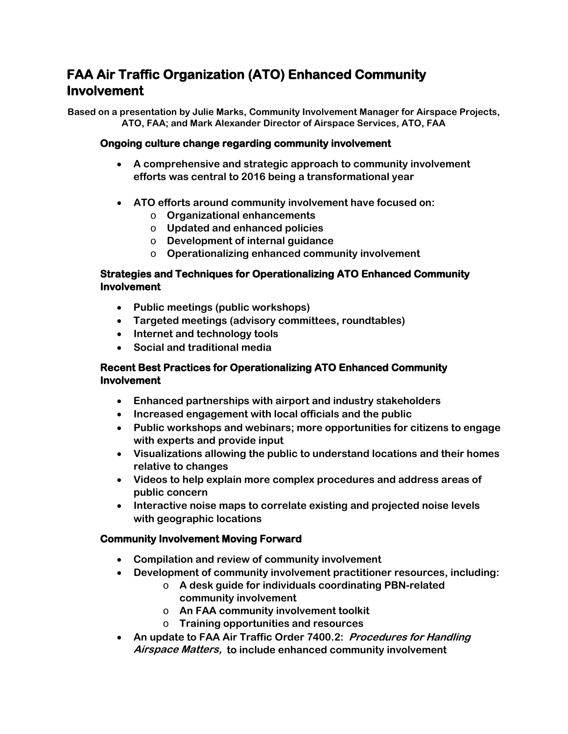# **FAA Air Traffic Organization (ATO) Enhanced Community Involvement**

**Based on a presentation by Julie Marks, Community Involvement Manager for Airspace Projects, ATO, FAA; and Mark Alexander Director of Airspace Services, ATO, FAA**

#### **Ongoing culture change regarding community involvement**

- **A comprehensive and strategic approach to community involvement efforts was central to 2016 being a transformational year**
- **ATO efforts around community involvement have focused on:**
	- o **Organizational enhancements**
	- o **Updated and enhanced policies**
	- o **Development of internal guidance**
	- o **Operationalizing enhanced community involvement**

#### **Strategies and Techniques for Operationalizing ATO Enhanced Community Involvement**

- **Public meetings (public workshops)**
- **Targeted meetings (advisory committees, roundtables)**
- **Internet and technology tools**
- **Social and traditional media**

#### **Recent Best Practices for Operationalizing ATO Enhanced Community Involvement**

- **Enhanced partnerships with airport and industry stakeholders**
- **Increased engagement with local officials and the public**
- **Public workshops and webinars; more opportunities for citizens to engage with experts and provide input**
- **Visualizations allowing the public to understand locations and their homes relative to changes**
- **Videos to help explain more complex procedures and address areas of public concern**
- **Interactive noise maps to correlate existing and projected noise levels with geographic locations**

#### **Community Involvement Moving Forward**

- **Compilation and review of community involvement**
- **Development of community involvement practitioner resources, including:**
	- o **A desk guide for individuals coordinating PBN-related community involvement**
	- o **An FAA community involvement toolkit**
	- o **Training opportunities and resources**
- **An update to FAA Air Traffic Order 7400.2: Procedures for Handling Airspace Matters, to include enhanced community involvement**